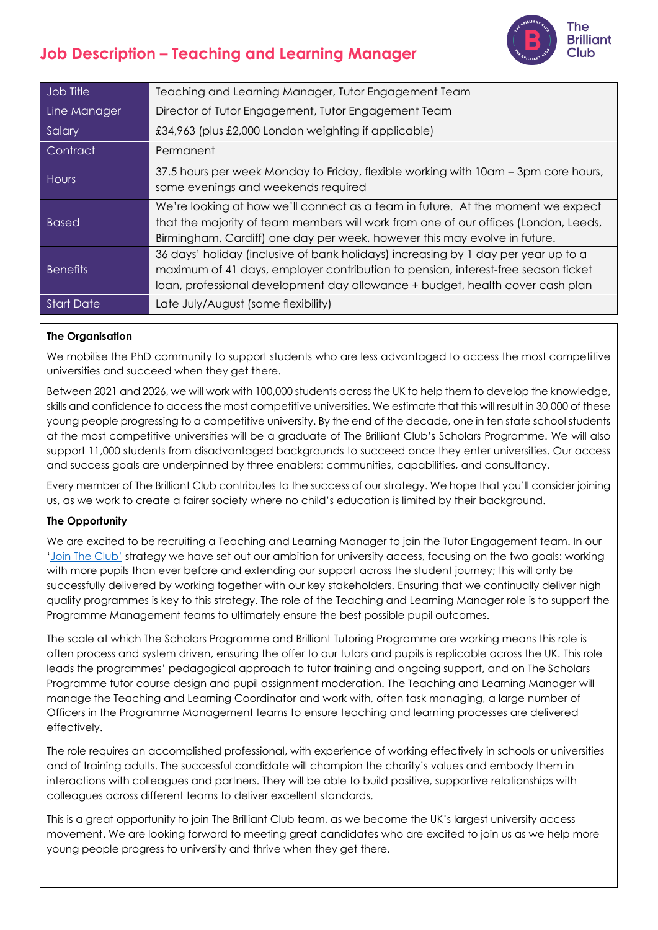

| Job Title         | Teaching and Learning Manager, Tutor Engagement Team                                                                                                                                                                                                     |
|-------------------|----------------------------------------------------------------------------------------------------------------------------------------------------------------------------------------------------------------------------------------------------------|
| Line Manager      | Director of Tutor Engagement, Tutor Engagement Team                                                                                                                                                                                                      |
| Salary            | £34,963 (plus £2,000 London weighting if applicable)                                                                                                                                                                                                     |
| Contract          | Permanent                                                                                                                                                                                                                                                |
| <b>Hours</b>      | 37.5 hours per week Monday to Friday, flexible working with 10am – 3pm core hours,<br>some evenings and weekends required                                                                                                                                |
| <b>Based</b>      | We're looking at how we'll connect as a team in future. At the moment we expect<br>that the majority of team members will work from one of our offices (London, Leeds,<br>Birmingham, Cardiff) one day per week, however this may evolve in future.      |
| <b>Benefits</b>   | 36 days' holiday (inclusive of bank holidays) increasing by 1 day per year up to a<br>maximum of 41 days, employer contribution to pension, interest-free season ticket<br>loan, professional development day allowance + budget, health cover cash plan |
| <b>Start Date</b> | Late July/August (some flexibility)                                                                                                                                                                                                                      |

## **The Organisation**

We mobilise the PhD community to support students who are less advantaged to access the most competitive universities and succeed when they get there.

Between 2021 and 2026, we will work with 100,000 students across the UK to help them to develop the knowledge, skills and confidence to access the most competitive universities. We estimate that this will result in 30,000 of these young people progressing to a competitive university. By the end of the decade, one in ten state school students at the most competitive universities will be a graduate of The Brilliant Club's Scholars Programme. We will also support 11,000 students from disadvantaged backgrounds to succeed once they enter universities. Our access and success goals are underpinned by three enablers: communities, capabilities, and consultancy.

Every member of The Brilliant Club contributes to the success of our strategy. We hope that you'll consider joining us, as we work to create a fairer society where no child's education is limited by their background.

### **The Opportunity**

We are excited to be recruiting a Teaching and Learning Manager to join the Tutor Engagement team. In our ['Join The Club'](https://thebrilliantclub.org/wp-content/uploads/2021/09/Join-the-Club-2021-26.pdf) strategy we have set out our ambition for university access, focusing on the two goals: working with more pupils than ever before and extending our support across the student journey; this will only be successfully delivered by working together with our key stakeholders. Ensuring that we continually deliver high quality programmes is key to this strategy. The role of the Teaching and Learning Manager role is to support the Programme Management teams to ultimately ensure the best possible pupil outcomes.

The scale at which The Scholars Programme and Brilliant Tutoring Programme are working means this role is often process and system driven, ensuring the offer to our tutors and pupils is replicable across the UK. This role leads the programmes' pedagogical approach to tutor training and ongoing support, and on The Scholars Programme tutor course design and pupil assignment moderation. The Teaching and Learning Manager will manage the Teaching and Learning Coordinator and work with, often task managing, a large number of Officers in the Programme Management teams to ensure teaching and learning processes are delivered effectively.

The role requires an accomplished professional, with experience of working effectively in schools or universities and of training adults. The successful candidate will champion the charity's values and embody them in interactions with colleagues and partners. They will be able to build positive, supportive relationships with colleagues across different teams to deliver excellent standards.

This is a great opportunity to join The Brilliant Club team, as we become the UK's largest university access movement. We are looking forward to meeting great candidates who are excited to join us as we help more young people progress to university and thrive when they get there.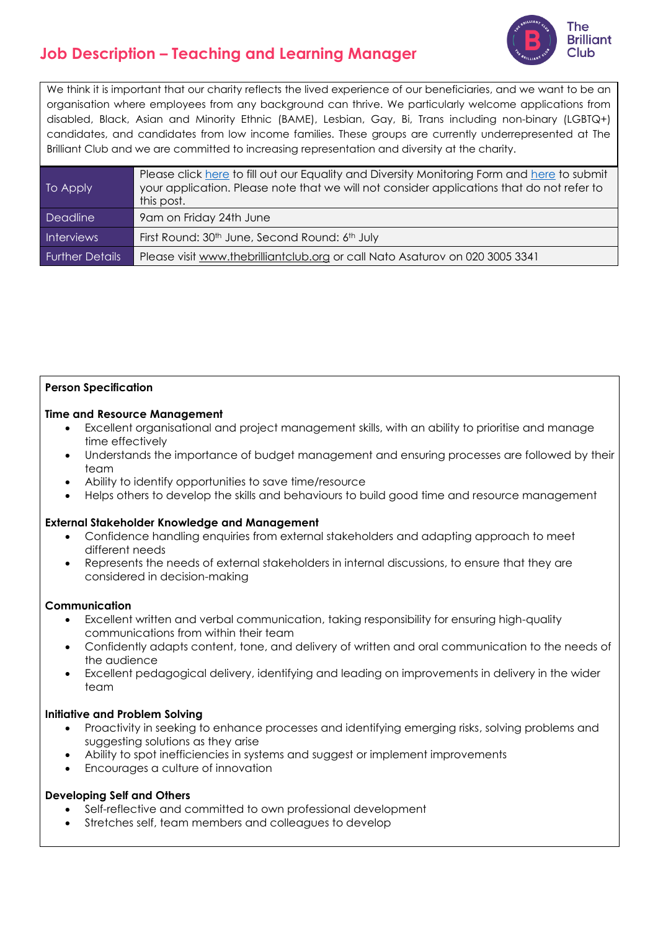

We think it is important that our charity reflects the lived experience of our beneficiaries, and we want to be an organisation where employees from any background can thrive. We particularly welcome applications from disabled, Black, Asian and Minority Ethnic (BAME), Lesbian, Gay, Bi, Trans including non-binary (LGBTQ+) candidates, and candidates from low income families. These groups are currently underrepresented at The Brilliant Club and we are committed to increasing representation and diversity at the charity.

| To Apply               | Please click here to fill out our Equality and Diversity Monitoring Form and here to submit<br>your application. Please note that we will not consider applications that do not refer to<br>this post. |
|------------------------|--------------------------------------------------------------------------------------------------------------------------------------------------------------------------------------------------------|
| <b>Deadline</b>        | 9am on Friday 24th June                                                                                                                                                                                |
| <b>Interviews</b>      | First Round: 30 <sup>th</sup> June, Second Round: 6 <sup>th</sup> July                                                                                                                                 |
| <b>Further Details</b> | Please visit www.thebrilliantclub.org or call Nato Asaturov on 020 3005 3341                                                                                                                           |

### **Person Specification**

### **Time and Resource Management**

- Excellent organisational and project management skills, with an ability to prioritise and manage time effectively
- Understands the importance of budget management and ensuring processes are followed by their team
- Ability to identify opportunities to save time/resource
- Helps others to develop the skills and behaviours to build good time and resource management

### **External Stakeholder Knowledge and Management**

- Confidence handling enquiries from external stakeholders and adapting approach to meet different needs
- Represents the needs of external stakeholders in internal discussions, to ensure that they are considered in decision-making

### **Communication**

- Excellent written and verbal communication, taking responsibility for ensuring high-quality communications from within their team
- Confidently adapts content, tone, and delivery of written and oral communication to the needs of the audience
- Excellent pedagogical delivery, identifying and leading on improvements in delivery in the wider team

## **Initiative and Problem Solving**

- Proactivity in seeking to enhance processes and identifying emerging risks, solving problems and suggesting solutions as they arise
- Ability to spot inefficiencies in systems and suggest or implement improvements
- Encourages a culture of innovation

### **Developing Self and Others**

- Self-reflective and committed to own professional development
- Stretches self, team members and colleagues to develop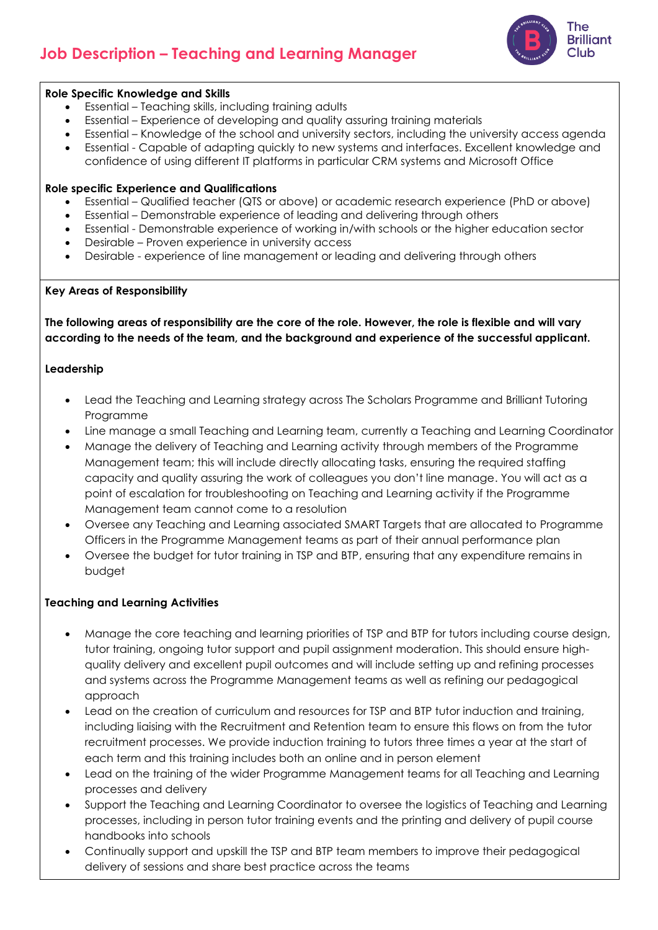

### **Role Specific Knowledge and Skills**

- Essential Teaching skills, including training adults
- Essential Experience of developing and quality assuring training materials
- Essential Knowledge of the school and university sectors, including the university access agenda
- Essential Capable of adapting quickly to new systems and interfaces. Excellent knowledge and confidence of using different IT platforms in particular CRM systems and Microsoft Office

### **Role specific Experience and Qualifications**

- Essential Qualified teacher (QTS or above) or academic research experience (PhD or above)
- Essential Demonstrable experience of leading and delivering through others
- Essential Demonstrable experience of working in/with schools or the higher education sector
- Desirable Proven experience in university access
- Desirable experience of line management or leading and delivering through others

### **Key Areas of Responsibility**

**The following areas of responsibility are the core of the role. However, the role is flexible and will vary according to the needs of the team, and the background and experience of the successful applicant.**

### **Leadership**

- Lead the Teaching and Learning strategy across The Scholars Programme and Brilliant Tutoring Programme
- Line manage a small Teaching and Learning team, currently a Teaching and Learning Coordinator
- Manage the delivery of Teaching and Learning activity through members of the Programme Management team; this will include directly allocating tasks, ensuring the required staffing capacity and quality assuring the work of colleagues you don't line manage. You will act as a point of escalation for troubleshooting on Teaching and Learning activity if the Programme Management team cannot come to a resolution
- Oversee any Teaching and Learning associated SMART Targets that are allocated to Programme Officers in the Programme Management teams as part of their annual performance plan
- Oversee the budget for tutor training in TSP and BTP, ensuring that any expenditure remains in budget

### **Teaching and Learning Activities**

- Manage the core teaching and learning priorities of TSP and BTP for tutors including course design, tutor training, ongoing tutor support and pupil assignment moderation. This should ensure highquality delivery and excellent pupil outcomes and will include setting up and refining processes and systems across the Programme Management teams as well as refining our pedagogical approach
- Lead on the creation of curriculum and resources for TSP and BTP tutor induction and training, including liaising with the Recruitment and Retention team to ensure this flows on from the tutor recruitment processes. We provide induction training to tutors three times a year at the start of each term and this training includes both an online and in person element
- Lead on the training of the wider Programme Management teams for all Teaching and Learning processes and delivery
- Support the Teaching and Learning Coordinator to oversee the logistics of Teaching and Learning processes, including in person tutor training events and the printing and delivery of pupil course handbooks into schools
- Continually support and upskill the TSP and BTP team members to improve their pedagogical delivery of sessions and share best practice across the teams